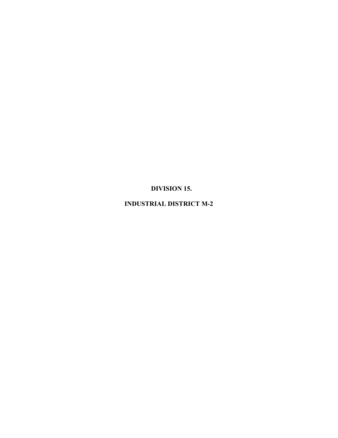**DIVISION 15.**

**INDUSTRIAL DISTRICT M-2**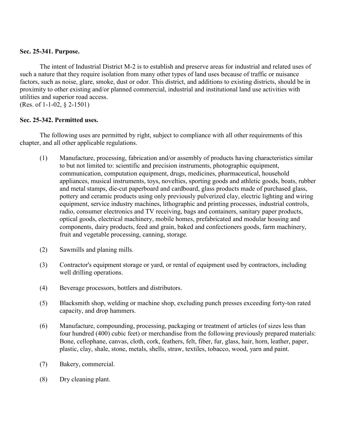# **Sec. 25-341. Purpose.**

The intent of Industrial District M-2 is to establish and preserve areas for industrial and related uses of such a nature that they require isolation from many other types of land uses because of traffic or nuisance factors, such as noise, glare, smoke, dust or odor. This district, and additions to existing districts, should be in proximity to other existing and/or planned commercial, industrial and institutional land use activities with utilities and superior road access.

(Res. of 1-1-02, § 2-1501)

# **Sec. 25-342. Permitted uses.**

The following uses are permitted by right, subject to compliance with all other requirements of this chapter, and all other applicable regulations.

- (1) Manufacture, processing, fabrication and/or assembly of products having characteristics similar to but not limited to: scientific and precision instruments, photographic equipment, communication, computation equipment, drugs, medicines, pharmaceutical, household appliances, musical instruments, toys, novelties, sporting goods and athletic goods, boats, rubber and metal stamps, die-cut paperboard and cardboard, glass products made of purchased glass, pottery and ceramic products using only previously pulverized clay, electric lighting and wiring equipment, service industry machines, lithographic and printing processes, industrial controls, radio, consumer electronics and TV receiving, bags and containers, sanitary paper products, optical goods, electrical machinery, mobile homes, prefabricated and modular housing and components, dairy products, feed and grain, baked and confectioners goods, farm machinery, fruit and vegetable processing, canning, storage.
- (2) Sawmills and planing mills.
- (3) Contractor's equipment storage or yard, or rental of equipment used by contractors, including well drilling operations.
- (4) Beverage processors, bottlers and distributors.
- (5) Blacksmith shop, welding or machine shop, excluding punch presses exceeding forty-ton rated capacity, and drop hammers.
- (6) Manufacture, compounding, processing, packaging or treatment of articles (of sizes less than four hundred (400) cubic feet) or merchandise from the following previously prepared materials: Bone, cellophane, canvas, cloth, cork, feathers, felt, fiber, fur, glass, hair, horn, leather, paper, plastic, clay, shale, stone, metals, shells, straw, textiles, tobacco, wood, yarn and paint.
- (7) Bakery, commercial.
- (8) Dry cleaning plant.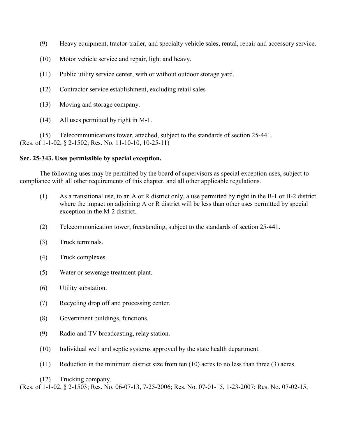- (9) Heavy equipment, tractor-trailer, and specialty vehicle sales, rental, repair and accessory service.
- (10) Motor vehicle service and repair, light and heavy.
- (11) Public utility service center, with or without outdoor storage yard.
- (12) Contractor service establishment, excluding retail sales
- (13) Moving and storage company.
- (14) All uses permitted by right in M-1.

 (15) Telecommunications tower, attached, subject to the standards of section 25-441. (Res. of 1-1-02, § 2-1502; Res. No. 11-10-10, 10-25-11)

### **Sec. 25-343. Uses permissible by special exception.**

The following uses may be permitted by the board of supervisors as special exception uses, subject to compliance with all other requirements of this chapter, and all other applicable regulations.

- (1) As a transitional use, to an A or R district only, a use permitted by right in the B-1 or B-2 district where the impact on adjoining A or R district will be less than other uses permitted by special exception in the M-2 district.
- (2) Telecommunication tower, freestanding, subject to the standards of section 25-441.
- (3) Truck terminals.
- (4) Truck complexes.
- (5) Water or sewerage treatment plant.
- (6) Utility substation.
- (7) Recycling drop off and processing center.
- (8) Government buildings, functions.
- (9) Radio and TV broadcasting, relay station.
- (10) Individual well and septic systems approved by the state health department.
- (11) Reduction in the minimum district size from ten (10) acres to no less than three (3) acres.
- (12) Trucking company.

(Res. of 1-1-02, § 2-1503; Res. No. 06-07-13, 7-25-2006; Res. No. 07-01-15, 1-23-2007; Res. No. 07-02-15,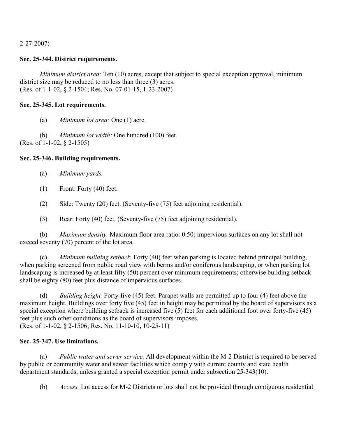2-27-2007)

# **Sec. 25-344. District requirements.**

*Minimum district area:* Ten (10) acres, except that subject to special exception approval, minimum district size may be reduced to no less than three (3) acres. (Res. of 1-1-02, § 2-1504; Res. No. 07-01-15, 1-23-2007)

# **Sec. 25-345. Lot requirements.**

(a) *Minimum lot area:* One (1) acre.

(b) *Minimum lot width:* One hundred (100) feet. (Res. of 1-1-02, § 2-1505)

# **Sec. 25-346. Building requirements.**

- (a) *Minimum yards.*
- (1) Front: Forty (40) feet.
- (2) Side: Twenty (20) feet. (Seventy-five (75) feet adjoining residential).
- (3) Rear: Forty (40) feet. (Seventy-five (75) feet adjoining residential).

(b) *Maximum density.* Maximum floor area ratio: 0.50; impervious surfaces on any lot shall not exceed seventy (70) percent of the lot area.

(c) *Minimum building setback.* Forty (40) feet when parking is located behind principal building, when parking screened from public road view with berms and/or coniferous landscaping, or when parking lot landscaping is increased by at least fifty (50) percent over minimum requirements; otherwise building setback shall be eighty (80) feet plus distance of impervious surfaces.

(d) *Building height.* Forty-five (45) feet. Parapet walls are permitted up to four (4) feet above the maximum height. Buildings over forty five (45) feet in height may be permitted by the board of supervisors as a special exception where building setback is increased five  $(5)$  feet for each additional foot over forty-five (45) feet plus such other conditions as the board of supervisors imposes. (Res. of 1-1-02, § 2-1506; Res. No. 11-10-10, 10-25-11)

### **Sec. 25-347. Use limitations.**

(a) *Public water and sewer service.* All development within the M-2 District is required to be served by public or community water and sewer facilities which comply with current county and state health department standards, unless granted a special exception permit under subsection 25-343(10).

(b) *Access.* Lot access for M-2 Districts or lots shall not be provided through contiguous residential